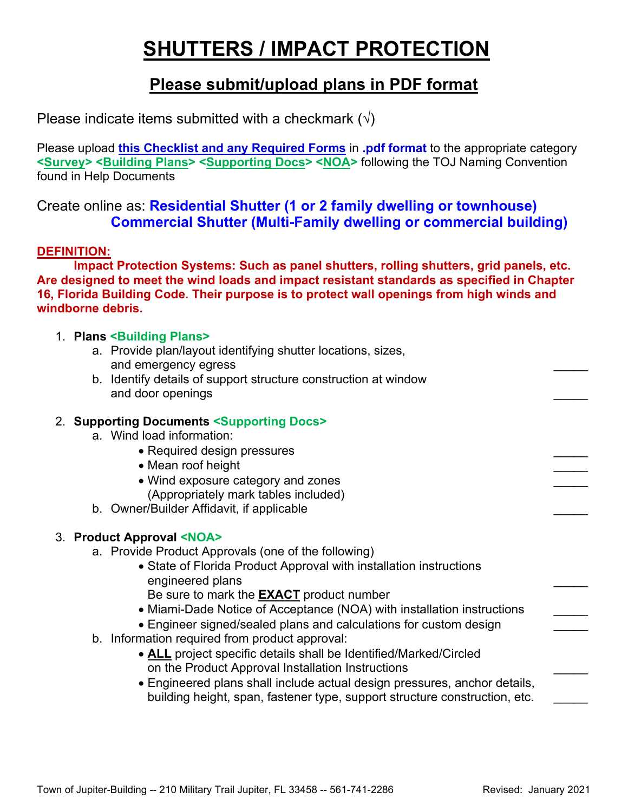# **SHUTTERS / IMPACT PROTECTION**

### **Please submit/upload plans in PDF format**

Please indicate items submitted with a checkmark  $(\sqrt{})$ 

Please upload **this Checklist and any Required Forms** in **.pdf format** to the appropriate category **<Survey> <Building Plans> <Supporting Docs> <NOA>** following the TOJ Naming Convention found in Help Documents

#### Create online as: **Residential Shutter (1 or 2 family dwelling or townhouse) Commercial Shutter (Multi-Family dwelling or commercial building)**

#### **DEFINITION:**

**Impact Protection Systems: Such as panel shutters, rolling shutters, grid panels, etc. Are designed to meet the wind loads and impact resistant standards as specified in Chapter 16, Florida Building Code. Their purpose is to protect wall openings from high winds and windborne debris.**

#### 1. **Plans <Building Plans>**

- a. Provide plan/layout identifying shutter locations, sizes, and emergency egress
- b. Identify details of support structure construction at window and door openings

#### 2. **Supporting Documents <Supporting Docs>**

- a. Wind load information:
	- Required design pressures
	- Mean roof height
	- Wind exposure category and zones
	- (Appropriately mark tables included)
- b. Owner/Builder Affidavit, if applicable

#### 3. **Product Approval <NOA>**

- a. Provide Product Approvals (one of the following)
	- State of Florida Product Approval with installation instructions engineered plans Be sure to mark the **EXACT** product number
	- Miami-Dade Notice of Acceptance (NOA) with installation instructions
	- Engineer signed/sealed plans and calculations for custom design
- b. Information required from product approval:
	- **ALL** project specific details shall be Identified/Marked/Circled on the Product Approval Installation Instructions \_\_\_\_\_
	- Engineered plans shall include actual design pressures, anchor details, building height, span, fastener type, support structure construction, etc.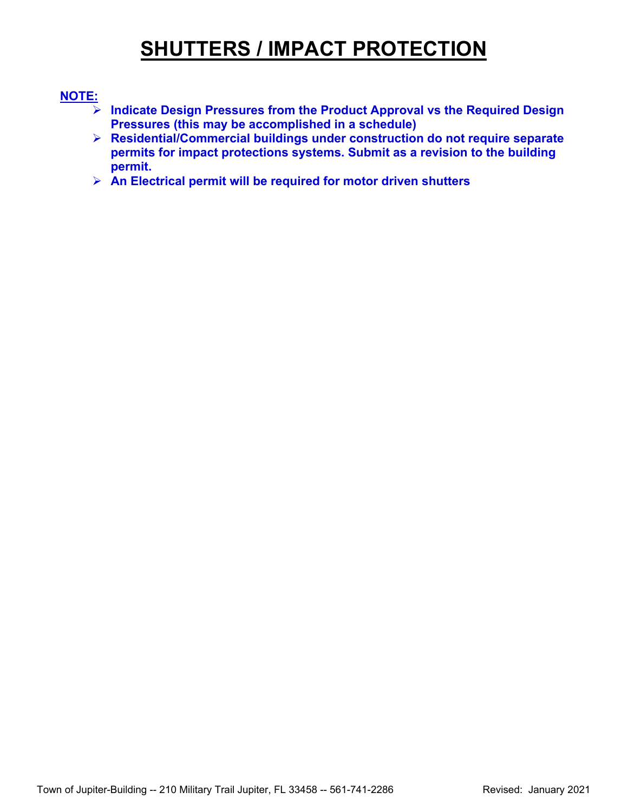## **SHUTTERS / IMPACT PROTECTION**

#### **NOTE:**

- **Indicate Design Pressures from the Product Approval vs the Required Design Pressures (this may be accomplished in a schedule)**
- **Residential/Commercial buildings under construction do not require separate permits for impact protections systems. Submit as a revision to the building permit.**
- **An Electrical permit will be required for motor driven shutters**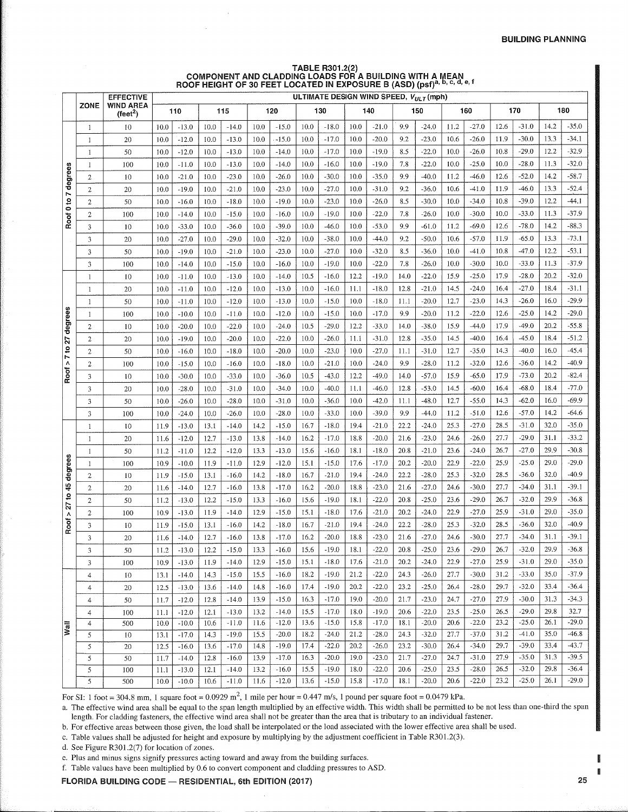# TABLE R301.2(2)<br>COMPONENT AND CLADDING LOADS FOR A BUILDING WITH A MEAN<br>ROOF HEIGHT OF 30 FEET LOCATED IN EXPOSURE B (ASD) (psf)<sup>a, b, c, d,</sup> e, f

|                                       |                              | <b>EFFECTIVE</b>                      |              |                    |              |                    |              |                    |              |                    |              | ULTIMATE DESIGN WIND SPEED, VULT (mph) |              |                    |              |                    |              |                    |              |                    |
|---------------------------------------|------------------------------|---------------------------------------|--------------|--------------------|--------------|--------------------|--------------|--------------------|--------------|--------------------|--------------|----------------------------------------|--------------|--------------------|--------------|--------------------|--------------|--------------------|--------------|--------------------|
|                                       | <b>ZONE</b>                  | <b>WIND AREA</b><br>$(\text{feet}^2)$ | 110          |                    | 115          |                    | 120          |                    |              | 130                |              | 140                                    |              | 150                |              | 160                |              | 170                |              | 180                |
|                                       | 1                            | 10                                    | 10.0         | $-13.0$            | 10.0         | $-14.0$            | 10.0         | $-15.0$            | 10.0         | $-18.0$            | 10.0         | $-21.0$                                | 9.9          | $-24.0$            | 11.2         | $-27.0$            | 12.6         | $-31.0$            | 14.2         | $-35.0$            |
|                                       | 1                            | 20                                    | 10.0         | $-12.0$            | 10.0         | $-13.0$            | 10.0         | $-15.0$            | 10.0         | $-17.0$            | 10.0         | $-20.0$                                | 9.2          | $-23.0$            | 10.6         | $-26.0$            | 11.9         | $-30.0$            | 13.3         | $-34.1$            |
| degrees<br>Z<br>$\frac{1}{2}$<br>Roof | 1                            | 50                                    | 10.0         | $-12.0$            | 10.0         | $-13.0$            | 10.0         | $-14.0$            | 10.0         | $-17.0$            | 10.0         | $-19.0$                                | 8.5          | $-22.0$            | 10.0         | $-26.0$            | 10.8         | $-29.0$            | 12.2         | $-32.9$            |
|                                       | 1                            | 100                                   | 10.0         | $-11.0$            | 10.0         | $-13.0$            | 10.0         | $-14.0$            | 10.0         | $-16.0$            | 10.0         | $-19.0$                                | 7.8          | $-22.0$            | 10.0         | $-25.0$            | 10.0         | $-28.0$            | 11.3         | $-32.0$            |
|                                       | $\overline{c}$               | 10                                    | 10.0         | $-21.0$            | 10.0         | $-23.0$            | 10.0         | $-26.0$            | 10.0         | $-30.0$            | 10.0         | $-35.0$                                | 9.9          | $-40.0$            | 11.2         | $-46.0$            | 12.6         | $-52.0$            | 14.2         | $-58.7$            |
|                                       | $\mathbf{2}$                 | 20                                    | 10.0         | $-19.0$            | 10.0         | $-21.0$            | 10.0         | $-23.0$            | 10.0         | $-27.0$            | 10.0         | $-31.0$                                | 9.2          | $-36.0$            | 10.6         | $-41.0$            | 11.9         | $-46.0$            | 13.3         | $-52.4$            |
|                                       | $\overline{2}$               | 50                                    | 10.0         | $-16.0$            | 10.0         | $-18.0$            | 10.0         | $-19.0$            | 10.0         | $-23.0$            | 10.0         | $-26.0$                                | 8.5          | $-30.0$            | 10.0         | $-34.0$            | 10.8         | $-39.0$            | 12.2         | $-44.1$            |
|                                       | $\overline{2}$               | 100                                   | 10.0         | $-14.0$            | 10.0         | $-15.0$            | 10.0         | $-16.0$            | 10.0         | $-19.0$            | 10.0         | $-22.0$                                | 7.8          | $-26.0$            | 10.0         | $-30.0$            | 10.0         | $-33.0$            | 11.3         | $-37.9$            |
|                                       | 3                            | 10                                    | 10.0         | $-33.0$            | 10.0         | $-36.0$            | 10.0         | $-39.0$            | 10.0         | $-46.0$            | 10.0         | $-53.0$                                | 9,9          | $-61.0$            | 11.2         | $-69.0$            | 12.6         | $-78.0$            | 14.2         | $-88.3$            |
|                                       | 3                            | 20                                    | 10.0         | $-27.0$            | 10.0         | $-29.0$            | 10.0         | $-32.0$            | 10.0         | $-38.0$            | 10.0         | $-44.0$                                | 9.2          | $-50.0$            | 10.6         | $-57.0$            | 11.9         | $-65.0$            | 13.3         | $-73.1$            |
|                                       | 3                            | 50                                    | 10.0         | $-19.0$            | 10.0         | $-21.0$            | 10.0         | $-23.0$            | 10.0         | $-27.0$            | 10.0         | $-32.0$                                | 8.5          | $-36.0$            | 10.0         | $-41.0$            | 10.8         | $-47.0$            | 12.2         | $-53.1$            |
|                                       | 3                            | 100                                   | 10.0         | $-14.0$            | 10.0         | $-15.0$            | 10.0         | $-16.0$            | 10.0         | $-19.0$            | 10.0         | $-22.0$                                | 7.8          | $-26.0$            | 10.0         | $-30.0$            | 10.0         | $-33.0$            | 11.3         | $-37.9$            |
|                                       | $\mathbf{1}$                 | 10                                    | 10.0         | $-11.0$            | 10.0         | $-13.0$            | 10.0         | $-14.0$            | 10.5         | $-16.0$            | 12.2         | $-19.0$                                | 14.0         | $-22.0$            | 15.9         | $-25.0$            | 17.9         | $-28.0$            | 20.2         | $-32.0$            |
|                                       | 1                            | 20                                    | 10.0         | $-11.0$            | 10.0         | $-12.0$            | 10.0         | $-13.0$            | 10.0         | $-16.0$            | 11.1         | $-18.0$                                | 12.8         | $-21.0$            | 14.5         | $-24.0$            | 16.4         | $-27.0$            | 18.4         | $-31.1$            |
| degrees<br>22<br>7 to<br>Λ<br>Roof    | $\mathbf{1}$                 | 50                                    | 10.0         | $-11.0$            | 10.0         | $-12.0$            | 10.0         | $-13.0$            | 10.0         | $-15.0$            | 10.0         | $-18.0$                                | 11.1         | $-20.0$            | 12.7         | $-23.0$            | 14.3         | $-26.0$            | 16.0         | $-29.9$            |
|                                       | 1                            | 100                                   | 10.0         | $-10.0$            | 10.0         | $-11.0$            | 10.0         | $-12.0$            | 10.0         | $-15.0$            | 10.0         | $-17.0$                                | 9.9          | $-20.0$            | 11.2         | $-22.0$            | 12.6         | $-25.0$            | 14.2         | $-29.0$            |
|                                       | $\overline{c}$               | 10                                    | 10.0         | $-20.0$            | 10.0         | $-22.0$            | 10.0         | $-24.0$            | 10.5         | $-29.0$            | 12.2         | $-33.0$                                | 14.0         | $-38.0$            | 15.9         | $-44.0$            | 17.9         | $-49.0$            | 20.2         | $-55.8$            |
|                                       | $\overline{2}$               | 20                                    | 10.0         | $-19.0$            | 10.0         | $-20.0$            | 10.0         | $-22.0$            | 10.0         | $-26.0$            | 11.1         | $-31.0$                                | 12.8         | $-35.0$            | 14.5         | $-40.0$            | 16.4         | $-45.0$            | 18.4         | $-51.2$            |
|                                       | $\overline{c}$               | 50                                    | 10.0         | $-16.0$            | 10.0         | $-18.0$            | 10.0         | $-20.0$            | 10.0         | $-23.0$            | 10.0         | $-27.0$                                | 11.1         | $-31.0$            | 12.7         | $-35.0$            | 14.3         | $-40.0$            | 16.0         | $-45.4$<br>$-40.9$ |
|                                       | $\boldsymbol{2}$             | 100                                   | 10.0         | $-15.0$            | 10.0         | $-16.0$            | 10.0         | $-18.0$            | 10.0         | $-21.0$            | 10.0         | $-24.0$                                | 9.9          | $-28.0$            | 11.2         | $-32.0$            | 12.6         | $-36.0$            | 14.2         | $-82.4$            |
|                                       | 3                            | 10                                    | 10.0         | $-30.0$            | 10.0         | $-33.0$            | 10.0         | $-36.0$            | 10.5         | $-43.0$            | 12.2         | $-49.0$                                | 14.0         | $-57.0$            | 15.9         | $-65.0$            | 17.9         | $-73.0$            | 20.2         | $-77.0$            |
|                                       | 3                            | 20                                    | 10.0         | $-28.0$            | 10.0         | $-31.0$            | 10.0         | $-34.0$<br>$-31.0$ | 10.0<br>10.0 | $-40.0$<br>$-36.0$ | 11.1<br>10.0 | $-46.0$<br>$-42.0$                     | 12.8<br>11.1 | $-53.0$<br>$-48.0$ | 14.5<br>12.7 | $-60.0$<br>$-55.0$ | 16.4<br>14.3 | $-68.0$<br>$-62.0$ | 18.4<br>16.0 | $-69.9$            |
|                                       | 3                            | 50                                    | 10.0         | $-26.0$            | 10.0<br>10.0 | $-28.0$<br>$-26.0$ | 10.0<br>10.0 | $-28.0$            | 10.0         | $-33.0$            | 10.0         | $-39.0$                                | 9.9          | $-44.0$            | 11.2         | $-51.0$            | 12.6         | $-57.0$            | 14.2         | -64.6              |
|                                       | 3                            | 100<br>10                             | 10.0<br>11.9 | $-24.0$<br>$-13.0$ | 13.1         | $-14.0$            | 14.2         | $-15.0$            | 16.7         | $-18.0$            | 19.4         | $-21.0$                                | 22.2         | $-24.0$            | 25.3         | $-27.0$            | 28.5         | $-31.0$            | 32.0         | $-35.0$            |
|                                       | $\mathbf{1}$<br>$\mathbf{1}$ | 20                                    | 11.6         | $-12.0$            | 12.7         | $-13.0$            | 13.8         | $-14.0$            | 16.2         | $-17.0$            | 18.8         | $-20.0$                                | 21.6         | $-23.0$            | 24.6         | $-26.0$            | 27.7         | $-29.0$            | 31.1         | $-33.2$            |
|                                       | 1                            | 50                                    | 11.2         | $-11.0$            | 12.2         | $-12.0$            | 13.3         | $-13.0$            | 15.6         | $-16.0$            | 18.1         | $-18.0$                                | 20.8         | $-21.0$            | 23.6         | $-24.0$            | 26.7         | $-27.0$            | 29.9         | $-30.8$            |
|                                       | $\mathbf{1}$                 | 100                                   | 10.9         | $-10.0$            | 11.9         | $-11.0$            | 12.9         | $-12.0$            | 15.1         | $-15.0$            | 17.6         | $-17.0$                                | 20.2         | $-20.0$            | 22.9         | $-22.0$            | 25.9         | $-25.0$            | 29.0         | $-29.0$            |
| degrees                               | $\,2$                        | 10                                    | 11.9         | $-15.0$            | 13.1         | $-16.0$            | 14.2         | $-18.0$            | 16.7         | $-21.0$            | 19.4         | $-24.0$                                | 22.2         | $-28.0$            | 25.3         | $-32.0$            | 28.5         | $-36.0$            | 32.0         | $-40.9$            |
| 45                                    | $\overline{2}$               | 20                                    | 11.6         | $-14.0$            | 12.7         | $-16.0$            | 13.8         | $-17.0$            | 16.2         | $-20.0$            | 18.8         | $-23.0$                                | 21.6         | $-27.0$            | 24.6         | $-30.0$            | 27.7         | $-34.0$            | 31.1         | $-39.1$            |
| ʻ5                                    | $\sqrt{2}$                   | 50                                    | 11.2         | $-13.0$            | 12.2         | $-15.0$            | 13.3         | $-16.0$            | 15.6         | $-19.0$            | 18.1         | $-22.0$                                | 20.8         | $-25.0$            | 23.6         | $-29.0$            | 26.7         | $-32.0$            | 29.9         | $-36.8$            |
| 27<br>Λ                               | $\overline{2}$               | 100                                   | 10.9         | $-13.0$            | 11.9         | $-14.0$            | 12.9         | $-15.0$            | 15.1         | $-18.0$            | 17.6         | $-21.0$                                | 20.2         | $-24.0$            | 22.9         | $-27.0$            | 25.9         | $-31.0$            | 29.0         | $-35.0$            |
| Roof                                  | 3                            | 10                                    | 11.9         | $-15.0$            | 13.1         | $-16.0$            | 14.2         | $-18.0$            | 16.7         | $-21.0$            | 19.4         | $-24.0$                                | 22.2         | $-28.0$            | 25.3         | $-32.0$            | 28.5         | $-36.0$            | 32.0         | $-40.9$            |
|                                       | 3                            | 20                                    | 11.6         | $-14.0$            | 12.7         | $-16.0$            | 13.8         | $-17.0$            | 16.2         | $-20.0$            | 18.8         | $-23.0$                                | 21.6         | $-27.0$            | 24.6         | $-30.0$            | 27.7         | $-34.0$            | 31.1         | $-39.1$            |
|                                       | 3                            | 50                                    | 11.2         | $-13.0$            | 12.2         | $-15.0$            | 13.3         | $-16.0$            | 15.6         | $-19.0$            | $18.1\,$     | $-22.0$                                | $20.8\,$     | $-25.0$            | 23.6         | $-29.0$            | 26.7         | $-32.0$            | 29.9         | $-36.8$            |
|                                       | 3                            | 100                                   | 10.9         | $-13.0$            | 11.9         | $-14.0$            | 12.9         | $-15.0$            | 15.1         | $-18.0$            | 17.6         | $-21.0$                                | 20.2         | $-24.0$            | 22.9         | $-27.0$            | 25.9         | $-31.0$            | 29.0         | $-35.0$            |
|                                       | $\overline{4}$               | 10                                    | 13.1         | $-14.0$            | 14.3         | $-15.0$            | 15.5         | $-16.0$            | 18.2         | $-19.0$            | 21.2         | $-22.0$                                | 24.3         | $-26.0$            | 27.7         | $-30.0$            | 31.2         | $-33.0$            | 35.0         | $-37.9$            |
|                                       | $\overline{4}$               | 20                                    | 12.5         | $-13.0$            | 13.6         | $-14.0$            | 14.8         | $-16.0$            | 17.4         | $-19.0$            | 20.2         | $-22.0$                                | 23.2         | $-25.0$            | 26.4         | $-28.0$            | 29.7         | $-32.0$            | 33.4         | $-36.4$            |
|                                       | 4                            | 50                                    | 11.7         | $-12.0$            | 12.8         | $-14.0$            | 13.9         | $-15.0$            | 16.3         | $-17.0$            | 19.0         | $-20.0$                                | 21.7         | $-23.0$            | 24.7         | $-27.0$            | 27.9         | $-30.0$            | 31.3         | $-34.3$            |
|                                       | 4                            | 100                                   | 11.1         | $-12.0$            | 12.1         | $-13.0$            | 13.2         | $-14.0$            | 15.5         | $-17.0$            | 18.0         | $-19.0$                                | 20.6         | $-22.0$            | 23.5         | $-25.0$            | 26.5         | $-29.0$            | 29.8         | 32.7               |
| Wall                                  | $\overline{4}$               | 500                                   | 10.0         | $-10.0$            | 10.6         | $-11.0$            | 11.6         | $-12.0$            | 13.6         | $-15.0$            | 15.8         | $-17.0$                                | 18.1         | $-20.0$            | 20.6         | $-22.0$            | 23.2         | $-25.0$            | 26.1         | $-29.0$            |
|                                       | 5                            | 10                                    | 13.1         | $-17.0$            | 14.3         | $-19.0$            | 15.5         | $-20.0$            | 18.2         | $-24.0$            | 21.2         | $-28.0$                                | 24.3         | $-32.0$            | 27.7         | $-37.0$            | 31.2         | $-41.0$            | 35.0         | $-46.8$            |
|                                       | 5                            | 20                                    | 12.5         | $-16.0$            | 13.6         | $-17.0$            | 14.8         | $-19.0$            | 17.4         | $-22.0$            | 20.2         | $-26.0$                                | 23.2         | $-30.0$            | 26.4         | $-34.0$            | 29.7         | $-39.0$            | 33.4         | $-43.7$            |
|                                       | 5                            | 50                                    | 11.7         | $-14.0$            | 12.8         | $-16.0$            | 13.9         | $-17.0$            | 16.3         | $-20.0$            | 19.0         | $-23.0$                                | 21.7         | $-27.0$            | 24.7         | $-31.0$            | 27.9         | $-35.0$            | 31.3         | $-39.5$            |
|                                       | 5                            | 100                                   | 11.1         | $-13.0$            | 12.1         | $-14.0$            | 13.2         | $-16.0$            | 15.5         | $-19.0$            | 18.0         | $-22.0$                                | 20.6         | $-25.0$            | 23.5         | $-28.0$            | 26.5         | $-32.0$            | 29.8         | $-36.4$            |
|                                       | 5                            | 500                                   | 10.0         | $-10.0$            | 10.6         | $-11.0$            | 11.6         | $-12.0$            | 13.6         | $-15.0$            | 15.8         | $-17.0$                                | 18.1         | $-20.0$            | 20.6         | $-22.0$            | 23.2         | $-25.0$            | 26.1         | $-29.0$            |

For SI: 1 foot = 304.8 mm, 1 square foot = 0.0929 m<sup>2</sup>, 1 mile per hour = 0.447 m/s, 1 pound per square foot = 0.0479 kPa.

a. The effective wind area shall be equal to the span length multiplied by an effective width. This width shall be permitted to be not less than one-third the span length. For cladding fasteners, the effective wind area shall not be greater than the area that is tributary to an individual fastener.

b. For effective areas between those given, the load shall be interpolated or the load associated with the lower effective area shall be used.

c. Table values shall be adjusted for height and exposure by multiplying by the adjustment coefficient in Table R301.2(3).

d. See Figure R301.2(7) for location of zones.

f. Table values have been multiplied by 0.6 to convert component and cladding pressures to ASD.

FLORIDA BUILDING CODE - RESIDENTIAL, 6th EDITION (2017)

e. Plus and minus signs signify pressures acting toward and away from the building surfaces.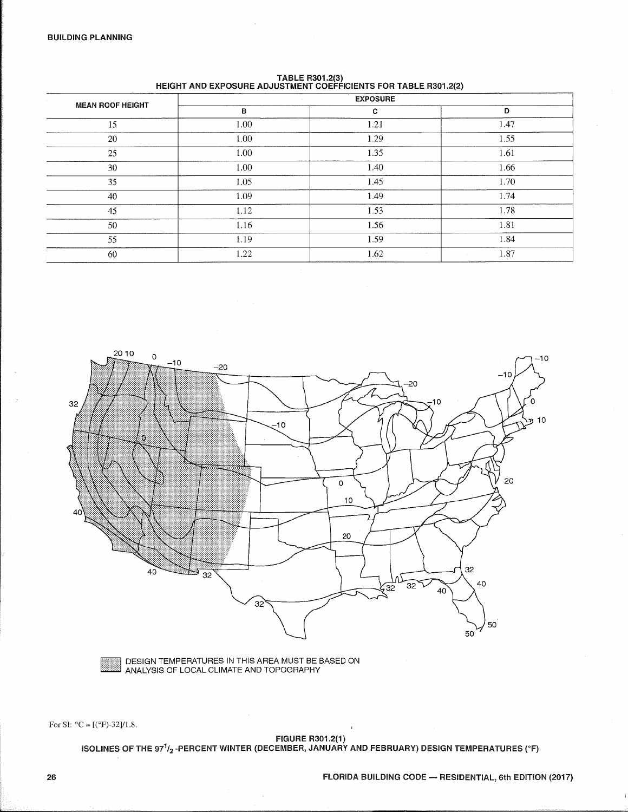| <b>MEAN ROOF HEIGHT</b> |      | <b>EXPOSURE</b> |      |  |  |  |  |  |  |  |  |  |
|-------------------------|------|-----------------|------|--|--|--|--|--|--|--|--|--|
|                         | в    | C               | D    |  |  |  |  |  |  |  |  |  |
| 15                      | 1.00 | 1.21            | 1.47 |  |  |  |  |  |  |  |  |  |
| 20                      | 1.00 | 1.29            | 1.55 |  |  |  |  |  |  |  |  |  |
| 25                      | 1.00 | 1.35            | 1.61 |  |  |  |  |  |  |  |  |  |
| 30                      | 1.00 | 1.40            | 1.66 |  |  |  |  |  |  |  |  |  |
| 35                      | 1.05 | 1.45            | 1.70 |  |  |  |  |  |  |  |  |  |
| 40                      | 1.09 | 1.49            | 1.74 |  |  |  |  |  |  |  |  |  |
| 45                      | 1.12 | 1.53            | 1.78 |  |  |  |  |  |  |  |  |  |
| 50                      | 1.16 | 1.56            | 1.81 |  |  |  |  |  |  |  |  |  |
| 55                      | 1.19 | 1.59            | 1.84 |  |  |  |  |  |  |  |  |  |
| 60                      | 1.22 | 1.62            | 1.87 |  |  |  |  |  |  |  |  |  |

TABLE R301.2(3)<br>HEIGHT AND EXPOSURE ADJUSTMENT COEFFICIENTS FOR TABLE R301.2(2)



DESIGN TEMPERATURES IN THIS AREA MUST BE BASED ON ANALYSIS OF LOCAL CLIMATE AND TOPOGRAPHY

For SI:  $^{\circ}C = [(^{\circ}F)-32]/1.8$ .

FIGURE R301.2(1)<br>ISOLINES OF THE 97<sup>1</sup>/<sub>2</sub>-PERCENT WINTER (DECEMBER, JANUARY AND FEBRUARY) DESIGN TEMPERATURES (°F)